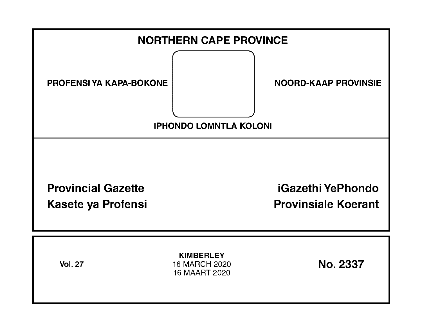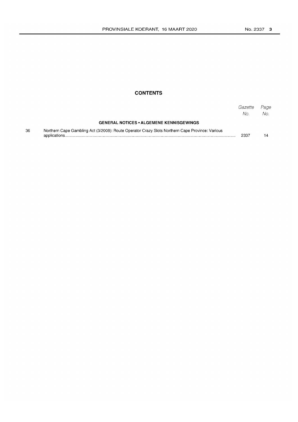## **CONTENTS**

|    |                                                                                                 | Gazette<br>No. | Page<br>No. |
|----|-------------------------------------------------------------------------------------------------|----------------|-------------|
|    | <b>GENERAL NOTICES • ALGEMENE KENNISGEWINGS</b>                                                 |                |             |
| 36 | Northern Cape Gambling Act (3/2008): Route Operator Crazy Slots Northern Cape Province: Various | 2337           |             |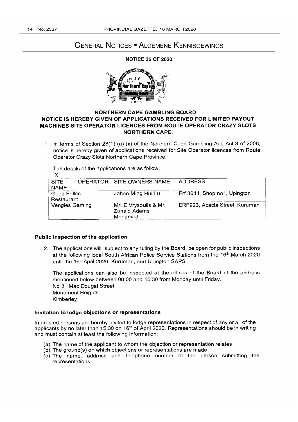# GENERAL NOTICES • ALGEMENE KENNISGEWINGS

NOTICE 36 OF 2020



### NORTHERN CAPE GAMBLING BOARD NOTICE IS HEREBY GIVEN OF APPLICATIONS RECEIVED FOR LIMITED PAYOUT MACHINES SITE OPERATOR LICENCES FROM ROUTE OPERATOR CRAZY SLOTS NORTHERN CAPE.

1. In terms of Section 28(1) (a) (ii) of the Northern Cape Gambling Act, Act 3 of 2008, notice is hereby given of applications received for Site Operator licences from Route Operator Crazy Slots Northern Cape Province.

The details of the applications are as follow: X

| <b>SITE</b><br><b>NAME</b> |  | <b>OPERATOR SITE OWNERS NAME</b>                        | <b>ADDRESS</b>                 |
|----------------------------|--|---------------------------------------------------------|--------------------------------|
| Good Fellas<br>Restaurant  |  | Johan Ming Hui Lu                                       | Erf 3044, Shop no1, Upington   |
| <b>Vengies Gaming</b>      |  | Mr. E Vrysoulis & Mr.<br><b>Zunaid Adams</b><br>Mohamed | ERF923, Acacia Street, Kuruman |

#### Public Inspection of the application

2. The applications will, subject to any ruling by the Board, be open for public inspections at the following local South African Police Service Stations from the 16<sup>th</sup> March 2020 until the 16<sup>th</sup> April 2020: Kuruman, and Upington SAPS.

The applications can also be inspected at the offices of the Board at the address mentioned below between 08:00 and 15:30 from Monday until Friday. No 31 Mac Dougal Street Monument Heights Kimberley

#### Invitation to lodge objections or representations

Interested persons are hereby invited to lodge representations in respect of any or all of the applicants by no later than 15:30 on 16<sup>th</sup> of April 2020. Representations should be in writing and must contain at least the following information:

- (a) The name of the applicant to whom the objection or representation relates
- (b) The ground(s) on which objections or representations are made
- (c) The name, address and telephone number of the person submitting the representations